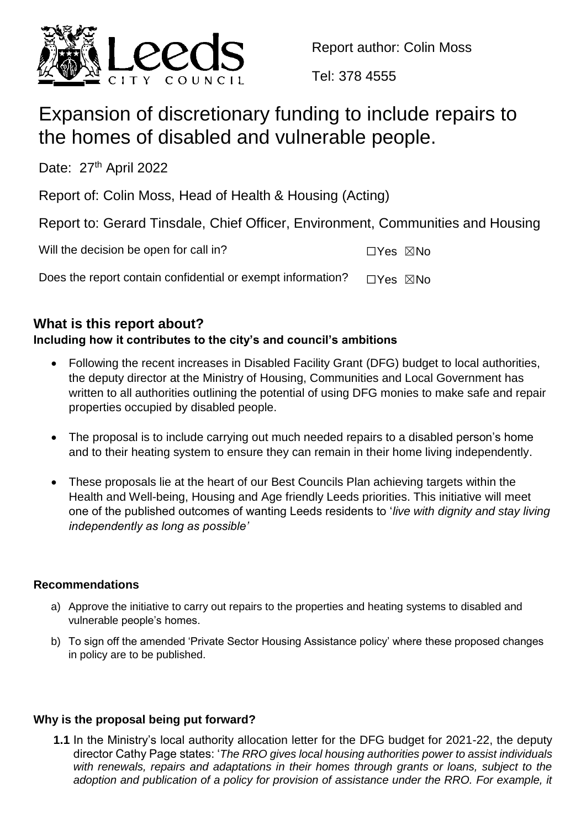

Report author: Colin Moss

Tel: 378 4555

# Expansion of discretionary funding to include repairs to the homes of disabled and vulnerable people.

Date: 27<sup>th</sup> April 2022

Report of: Colin Moss, Head of Health & Housing (Acting)

Report to: Gerard Tinsdale, Chief Officer, Environment, Communities and Housing

| Will the decision be open for call in?                      | ⊡Yes ⊠No |  |
|-------------------------------------------------------------|----------|--|
| Does the report contain confidential or exempt information? | ⊟Yes ⊠No |  |

# **What is this report about?**

## **Including how it contributes to the city's and council's ambitions**

- Following the recent increases in Disabled Facility Grant (DFG) budget to local authorities, the deputy director at the Ministry of Housing, Communities and Local Government has written to all authorities outlining the potential of using DFG monies to make safe and repair properties occupied by disabled people.
- The proposal is to include carrying out much needed repairs to a disabled person's home and to their heating system to ensure they can remain in their home living independently.
- These proposals lie at the heart of our Best Councils Plan achieving targets within the Health and Well-being, Housing and Age friendly Leeds priorities. This initiative will meet one of the published outcomes of wanting Leeds residents to '*live with dignity and stay living independently as long as possible'*

#### **Recommendations**

- a) Approve the initiative to carry out repairs to the properties and heating systems to disabled and vulnerable people's homes.
- b) To sign off the amended 'Private Sector Housing Assistance policy' where these proposed changes in policy are to be published.

#### **Why is the proposal being put forward?**

**1.1** In the Ministry's local authority allocation letter for the DFG budget for 2021-22, the deputy director Cathy Page states: '*The RRO gives local housing authorities power to assist individuals with renewals, repairs and adaptations in their homes through grants or loans, subject to the*  adoption and publication of a policy for provision of assistance under the RRO. For example, it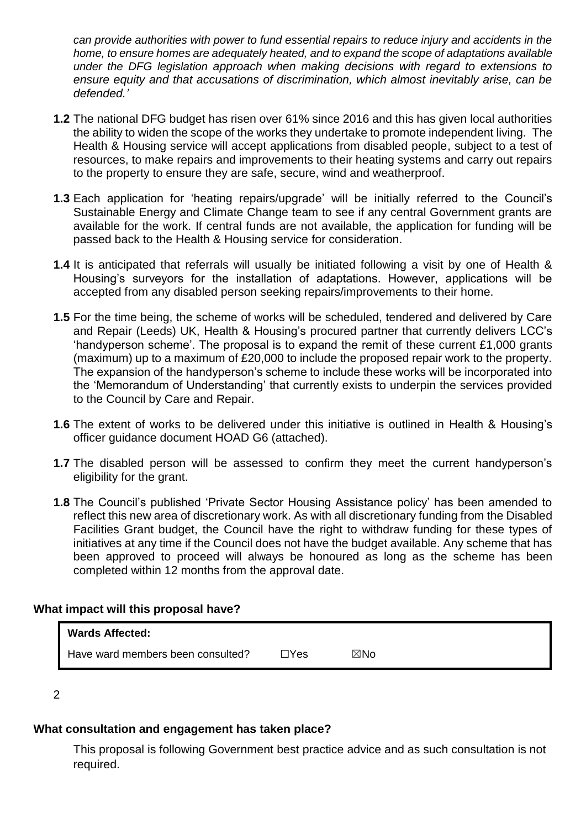*can provide authorities with power to fund essential repairs to reduce injury and accidents in the home, to ensure homes are adequately heated, and to expand the scope of adaptations available under the DFG legislation approach when making decisions with regard to extensions to ensure equity and that accusations of discrimination, which almost inevitably arise, can be defended.'*

- **1.2** The national DFG budget has risen over 61% since 2016 and this has given local authorities the ability to widen the scope of the works they undertake to promote independent living. The Health & Housing service will accept applications from disabled people, subject to a test of resources, to make repairs and improvements to their heating systems and carry out repairs to the property to ensure they are safe, secure, wind and weatherproof.
- **1.3** Each application for 'heating repairs/upgrade' will be initially referred to the Council's Sustainable Energy and Climate Change team to see if any central Government grants are available for the work. If central funds are not available, the application for funding will be passed back to the Health & Housing service for consideration.
- **1.4** It is anticipated that referrals will usually be initiated following a visit by one of Health & Housing's surveyors for the installation of adaptations. However, applications will be accepted from any disabled person seeking repairs/improvements to their home.
- **1.5** For the time being, the scheme of works will be scheduled, tendered and delivered by Care and Repair (Leeds) UK, Health & Housing's procured partner that currently delivers LCC's 'handyperson scheme'. The proposal is to expand the remit of these current £1,000 grants (maximum) up to a maximum of £20,000 to include the proposed repair work to the property. The expansion of the handyperson's scheme to include these works will be incorporated into the 'Memorandum of Understanding' that currently exists to underpin the services provided to the Council by Care and Repair.
- **1.6** The extent of works to be delivered under this initiative is outlined in Health & Housing's officer guidance document HOAD G6 (attached).
- **1.7** The disabled person will be assessed to confirm they meet the current handyperson's eligibility for the grant.
- **1.8** The Council's published 'Private Sector Housing Assistance policy' has been amended to reflect this new area of discretionary work. As with all discretionary funding from the Disabled Facilities Grant budget, the Council have the right to withdraw funding for these types of initiatives at any time if the Council does not have the budget available. Any scheme that has been approved to proceed will always be honoured as long as the scheme has been completed within 12 months from the approval date.

#### **What impact will this proposal have?**

| <b>Wards Affected:</b>            |            |     |
|-----------------------------------|------------|-----|
| Have ward members been consulted? | $\Box$ Yes | ⊠No |

2

## **What consultation and engagement has taken place?**

This proposal is following Government best practice advice and as such consultation is not required.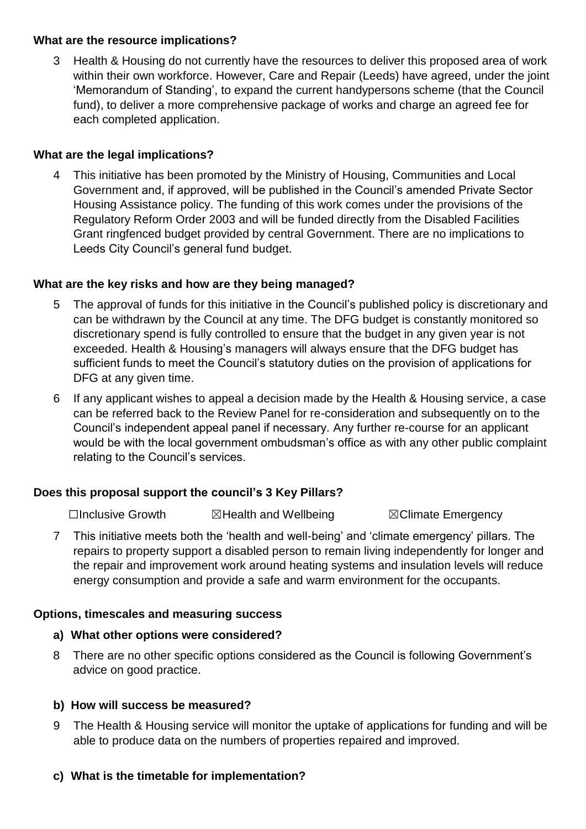#### **What are the resource implications?**

3 Health & Housing do not currently have the resources to deliver this proposed area of work within their own workforce. However, Care and Repair (Leeds) have agreed, under the joint 'Memorandum of Standing', to expand the current handypersons scheme (that the Council fund), to deliver a more comprehensive package of works and charge an agreed fee for each completed application.

#### **What are the legal implications?**

4 This initiative has been promoted by the Ministry of Housing, Communities and Local Government and, if approved, will be published in the Council's amended Private Sector Housing Assistance policy. The funding of this work comes under the provisions of the Regulatory Reform Order 2003 and will be funded directly from the Disabled Facilities Grant ringfenced budget provided by central Government. There are no implications to Leeds City Council's general fund budget.

#### **What are the key risks and how are they being managed?**

- 5 The approval of funds for this initiative in the Council's published policy is discretionary and can be withdrawn by the Council at any time. The DFG budget is constantly monitored so discretionary spend is fully controlled to ensure that the budget in any given year is not exceeded. Health & Housing's managers will always ensure that the DFG budget has sufficient funds to meet the Council's statutory duties on the provision of applications for DFG at any given time.
- 6 If any applicant wishes to appeal a decision made by the Health & Housing service, a case can be referred back to the Review Panel for re-consideration and subsequently on to the Council's independent appeal panel if necessary. Any further re-course for an applicant would be with the local government ombudsman's office as with any other public complaint relating to the Council's services.

#### **Does this proposal support the council's 3 Key Pillars?**

☐Inclusive Growth ☒Health and Wellbeing ☒Climate Emergency

7 This initiative meets both the 'health and well-being' and 'climate emergency' pillars. The repairs to property support a disabled person to remain living independently for longer and the repair and improvement work around heating systems and insulation levels will reduce energy consumption and provide a safe and warm environment for the occupants.

#### **Options, timescales and measuring success**

#### **a) What other options were considered?**

8 There are no other specific options considered as the Council is following Government's advice on good practice.

#### **b) How will success be measured?**

9 The Health & Housing service will monitor the uptake of applications for funding and will be able to produce data on the numbers of properties repaired and improved.

#### **c) What is the timetable for implementation?**